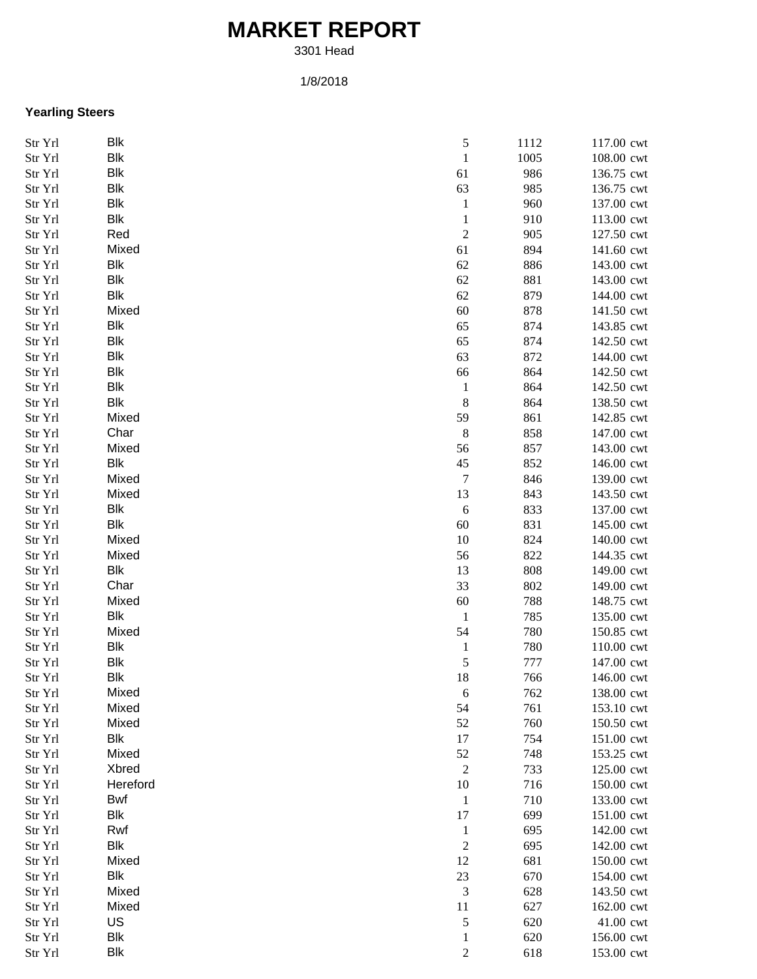## **MARKET REPORT**

3301 Head

## 1/8/2018

## **Yearling Steers**

| Str Yrl | Blk        | $\sqrt{5}$     | 1112 | 117.00 cwt |
|---------|------------|----------------|------|------------|
| Str Yrl | Blk        | $\,1\,$        | 1005 | 108.00 cwt |
| Str Yrl | Blk        | 61             | 986  | 136.75 cwt |
| Str Yrl | Blk        | 63             | 985  | 136.75 cwt |
| Str Yrl | <b>Blk</b> | $\mathbf 1$    | 960  | 137.00 cwt |
| Str Yrl | Blk        | $\mathbf{1}$   | 910  | 113.00 cwt |
| Str Yrl | Red        | $\overline{c}$ | 905  | 127.50 cwt |
| Str Yrl | Mixed      | 61             | 894  | 141.60 cwt |
| Str Yrl | Blk        | 62             | 886  | 143.00 cwt |
| Str Yrl | Blk        | 62             | 881  | 143.00 cwt |
| Str Yrl | Blk        | 62             | 879  | 144.00 cwt |
| Str Yrl | Mixed      | 60             | 878  | 141.50 cwt |
| Str Yrl | Blk        | 65             | 874  | 143.85 cwt |
| Str Yrl | Blk        | 65             | 874  | 142.50 cwt |
| Str Yrl | Blk        | 63             | 872  | 144.00 cwt |
| Str Yrl | Blk        | 66             | 864  | 142.50 cwt |
| Str Yrl | Blk        |                | 864  | 142.50 cwt |
|         | <b>Blk</b> | $\mathbf{1}$   |      |            |
| Str Yrl |            | $\,8\,$        | 864  | 138.50 cwt |
| Str Yrl | Mixed      | 59             | 861  | 142.85 cwt |
| Str Yrl | Char       | $\,8\,$        | 858  | 147.00 cwt |
| Str Yrl | Mixed      | 56             | 857  | 143.00 cwt |
| Str Yrl | Blk        | 45             | 852  | 146.00 cwt |
| Str Yrl | Mixed      | 7              | 846  | 139.00 cwt |
| Str Yrl | Mixed      | 13             | 843  | 143.50 cwt |
| Str Yrl | Blk        | $\sqrt{6}$     | 833  | 137.00 cwt |
| Str Yrl | Blk        | 60             | 831  | 145.00 cwt |
| Str Yrl | Mixed      | 10             | 824  | 140.00 cwt |
| Str Yrl | Mixed      | 56             | 822  | 144.35 cwt |
| Str Yrl | Blk        | 13             | 808  | 149.00 cwt |
| Str Yrl | Char       | 33             | 802  | 149.00 cwt |
| Str Yrl | Mixed      | 60             | 788  | 148.75 cwt |
| Str Yrl | <b>Blk</b> | $\mathbf{1}$   | 785  | 135.00 cwt |
| Str Yrl | Mixed      | 54             | 780  | 150.85 cwt |
| Str Yrl | Blk        | $\mathbf{1}$   | 780  | 110.00 cwt |
| Str Yrl | Blk        | $\sqrt{5}$     | 777  | 147.00 cwt |
| Str Yrl | <b>Blk</b> | 18             | 766  | 146.00 cwt |
| Str Yrl | Mixed      | $\sqrt{6}$     | 762  | 138.00 cwt |
| Str Yrl | Mixed      | 54             | 761  | 153.10 cwt |
| Str Yrl | Mixed      | 52             | 760  | 150.50 cwt |
| Str Yrl | Blk        | 17             | 754  | 151.00 cwt |
| Str Yrl | Mixed      | 52             | 748  | 153.25 cwt |
| Str Yrl | Xbred      | 2              | 733  | 125.00 cwt |
| Str Yrl | Hereford   | 10             | 716  | 150.00 cwt |
| Str Yrl | Bwf        | 1              | 710  | 133.00 cwt |
| Str Yrl | Blk        | 17             | 699  | 151.00 cwt |
| Str Yrl | Rwf        | $\mathbf{1}$   | 695  | 142.00 cwt |
| Str Yrl | <b>Blk</b> | $\overline{c}$ | 695  | 142.00 cwt |
| Str Yrl | Mixed      | 12             | 681  | 150.00 cwt |
| Str Yrl | Blk        | $23\,$         | 670  | 154.00 cwt |
| Str Yrl | Mixed      | 3              | 628  | 143.50 cwt |
| Str Yrl | Mixed      | 11             | 627  | 162.00 cwt |
|         | US         | 5              | 620  | 41.00 cwt  |
| Str Yrl | <b>Blk</b> |                |      |            |
| Str Yrl |            | 1              | 620  | 156.00 cwt |
| Str Yrl | Blk        | $\overline{c}$ | 618  | 153.00 cwt |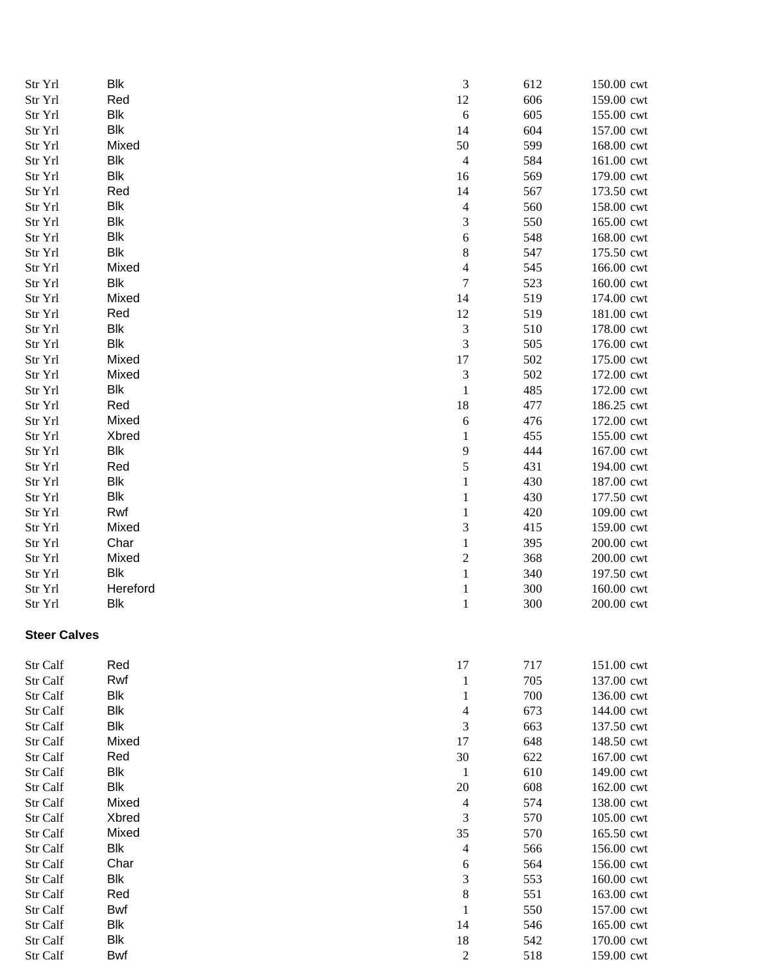| Str Yrl             | Blk      | $\ensuremath{\mathfrak{Z}}$ | 612 | 150.00 cwt |
|---------------------|----------|-----------------------------|-----|------------|
| Str Yrl             | Red      | 12                          | 606 | 159.00 cwt |
| Str Yrl             | Blk      | $\sqrt{6}$                  | 605 | 155.00 cwt |
| Str Yrl             | Blk      | 14                          | 604 | 157.00 cwt |
| Str Yrl             | Mixed    | 50                          | 599 | 168.00 cwt |
| Str Yrl             | Blk      | $\overline{4}$              | 584 | 161.00 cwt |
| Str Yrl             | Blk      | 16                          | 569 | 179.00 cwt |
| Str Yrl             | Red      | 14                          | 567 | 173.50 cwt |
| Str Yrl             | Blk      | $\overline{\mathcal{A}}$    | 560 | 158.00 cwt |
| Str Yrl             | Blk      | 3                           | 550 | 165.00 cwt |
| Str Yrl             | Blk      | 6                           | 548 | 168.00 cwt |
| Str Yrl             | Blk      | 8                           | 547 | 175.50 cwt |
| Str Yrl             | Mixed    | 4                           | 545 | 166.00 cwt |
| Str Yrl             | Blk      | 7                           | 523 | 160.00 cwt |
| Str Yrl             | Mixed    | 14                          | 519 | 174.00 cwt |
| Str Yrl             | Red      | 12                          | 519 | 181.00 cwt |
| Str Yrl             | Blk      | $\ensuremath{\mathfrak{Z}}$ | 510 | 178.00 cwt |
| Str Yrl             | Blk      | 3                           | 505 | 176.00 cwt |
| Str Yrl             | Mixed    | 17                          | 502 | 175.00 cwt |
| Str Yrl             | Mixed    | $\mathfrak 3$               | 502 | 172.00 cwt |
| Str Yrl             | Blk      | $\mathbf{1}$                | 485 | 172.00 cwt |
| Str Yrl             | Red      | 18                          | 477 | 186.25 cwt |
| Str Yrl             | Mixed    | 6                           | 476 | 172.00 cwt |
| Str Yrl             | Xbred    | 1                           | 455 | 155.00 cwt |
| Str Yrl             | Blk      | 9                           | 444 | 167.00 cwt |
| Str Yrl             | Red      | 5                           | 431 | 194.00 cwt |
| Str Yrl             | Blk      | 1                           | 430 | 187.00 cwt |
| Str Yrl             | Blk      | 1                           | 430 | 177.50 cwt |
| Str Yrl             | Rwf      | 1                           | 420 | 109.00 cwt |
| Str Yrl             | Mixed    | 3                           | 415 | 159.00 cwt |
| Str Yrl             | Char     | $\mathbf{1}$                | 395 | 200.00 cwt |
| Str Yrl             | Mixed    | $\overline{c}$              | 368 | 200.00 cwt |
| Str Yrl             | Blk      | $\mathbf{1}$                | 340 | 197.50 cwt |
| Str Yrl             | Hereford | $\mathbf{1}$                | 300 | 160.00 cwt |
| Str Yrl             | Blk      | $\mathbf{1}$                | 300 | 200.00 cwt |
| <b>Steer Calves</b> |          |                             |     |            |
| Str Calf            | Red      | 17                          | 717 | 151.00 cwt |
| Str Calf            | Rwf      | 1                           | 705 | 137.00 cwt |
| Str Calf            | Blk      | 1                           | 700 | 136.00 cwt |
| Str Calf            | Blk      | 4                           | 673 | 144.00 cwt |
| Str Calf            | Blk      | 3                           | 663 | 137.50 cwt |
| Str Calf            | Mixed    | 17                          | 648 | 148.50 cwt |
| Str Calf            | Red      | 30                          | 622 | 167.00 cwt |
| Str Calf            | Blk      | $\mathbf{1}$                | 610 | 149.00 cwt |
| Str Calf            | Blk      | 20                          | 608 | 162.00 cwt |
| Str Calf            | Mixed    | $\overline{\mathcal{A}}$    | 574 | 138.00 cwt |
| Str Calf            | Xbred    | 3                           | 570 | 105.00 cwt |
| Str Calf            | Mixed    | 35                          | 570 | 165.50 cwt |
| Str Calf            | Blk      | $\overline{4}$              | 566 | 156.00 cwt |
| Str Calf            | Char     | 6                           | 564 | 156.00 cwt |
| Str Calf            | Blk      | 3                           | 553 | 160.00 cwt |
| Str Calf            | Red      | $\,8\,$                     | 551 | 163.00 cwt |
| Str Calf            | Bwf      | $\mathbf{1}$                | 550 | 157.00 cwt |
| Str Calf            | Blk      | 14                          | 546 | 165.00 cwt |
| Str Calf            | Blk      | 18                          | 542 | 170.00 cwt |
| Str Calf            | Bwf      | $\mathfrak{2}$              | 518 | 159.00 cwt |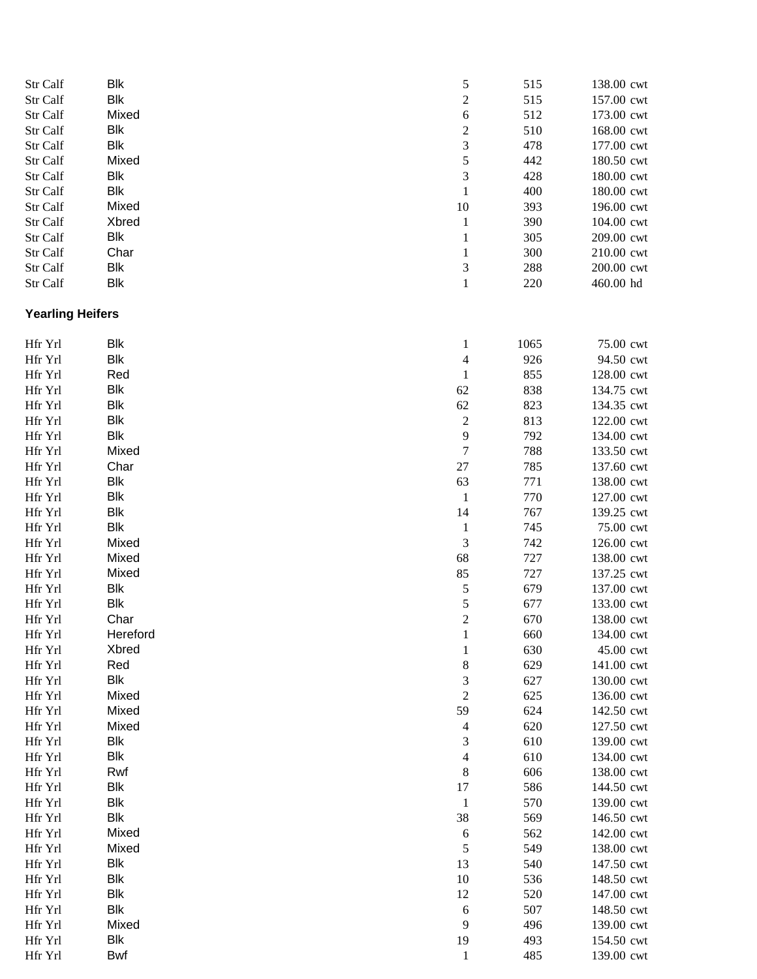| Str Calf                | <b>Blk</b> | 5                        | 515  | 138.00 cwt |
|-------------------------|------------|--------------------------|------|------------|
| Str Calf                | <b>Blk</b> | $\overline{c}$           | 515  | 157.00 cwt |
| Str Calf                | Mixed      | 6                        | 512  | 173.00 cwt |
| Str Calf                | <b>Blk</b> | $\overline{c}$           | 510  | 168.00 cwt |
| Str Calf                | <b>Blk</b> | 3                        | 478  | 177.00 cwt |
| Str Calf                | Mixed      | 5                        | 442  | 180.50 cwt |
| Str Calf                | <b>Blk</b> | 3                        | 428  | 180.00 cwt |
| Str Calf                | <b>Blk</b> | $\mathbf{1}$             | 400  | 180.00 cwt |
| Str Calf                | Mixed      | 10                       | 393  | 196.00 cwt |
| Str Calf                | Xbred      | $\mathbf{1}$             | 390  | 104.00 cwt |
| Str Calf                | Blk        | $\mathbf{1}$             | 305  | 209.00 cwt |
| Str Calf                | Char       | 1                        | 300  | 210.00 cwt |
| Str Calf                | Blk        | 3                        | 288  | 200.00 cwt |
| Str Calf                | <b>Blk</b> | $\mathbf{1}$             | 220  | 460.00 hd  |
| <b>Yearling Heifers</b> |            |                          |      |            |
| Hfr Yrl                 | Blk        | $\mathbf{1}$             | 1065 | 75.00 cwt  |
| Hfr Yrl                 | Blk        | $\overline{4}$           | 926  | 94.50 cwt  |
| Hfr Yrl                 | Red        | $\mathbf{1}$             | 855  | 128.00 cwt |
| Hfr Yrl                 | <b>Blk</b> | 62                       | 838  | 134.75 cwt |
| Hfr Yrl                 | <b>Blk</b> | 62                       | 823  | 134.35 cwt |
| Hfr Yrl                 | <b>Blk</b> | $\sqrt{2}$               | 813  | 122.00 cwt |
| Hfr Yrl                 | <b>Blk</b> | 9                        | 792  | 134.00 cwt |
| Hfr Yrl                 | Mixed      | 7                        | 788  | 133.50 cwt |
| Hfr Yrl                 | Char       | 27                       | 785  | 137.60 cwt |
| Hfr Yrl                 | <b>Blk</b> | 63                       | 771  | 138.00 cwt |
| Hfr Yrl                 | <b>Blk</b> | $\mathbf{1}$             | 770  | 127.00 cwt |
| Hfr Yrl                 | <b>Blk</b> | 14                       | 767  | 139.25 cwt |
| Hfr Yrl                 | <b>Blk</b> | $\mathbf{1}$             | 745  | 75.00 cwt  |
| Hfr Yrl                 | Mixed      | 3                        | 742  | 126.00 cwt |
| Hfr Yrl                 | Mixed      | 68                       | 727  | 138.00 cwt |
| Hfr Yrl                 | Mixed      | 85                       | 727  | 137.25 cwt |
| Hfr Yrl                 | <b>Blk</b> | $\mathfrak s$            | 679  | 137.00 cwt |
| Hfr Yrl                 | <b>Blk</b> | 5                        | 677  | 133.00 cwt |
| Hfr Yrl                 | Char       | $\overline{c}$           | 670  | 138.00 cwt |
| Hfr Yrl                 | Hereford   | $\,1$                    | 660  | 134.00 cwt |
| Hfr Yrl                 | Xbred      | 1                        | 630  | 45.00 cwt  |
| Hfr Yrl                 | Red        | 8                        | 629  | 141.00 cwt |
| Hfr Yrl                 | <b>Blk</b> | 3                        | 627  | 130.00 cwt |
| Hfr Yrl                 | Mixed      | $\overline{c}$           | 625  | 136.00 cwt |
| Hfr Yrl                 | Mixed      | 59                       | 624  | 142.50 cwt |
| Hfr Yrl                 | Mixed      | $\overline{\mathcal{A}}$ | 620  | 127.50 cwt |
| Hfr Yrl                 | Blk        | 3                        | 610  | 139.00 cwt |
| Hfr Yrl                 | <b>Blk</b> | 4                        | 610  | 134.00 cwt |
| Hfr Yrl                 | Rwf        | 8                        | 606  | 138.00 cwt |
| Hfr Yrl                 | <b>Blk</b> | 17                       | 586  | 144.50 cwt |
| Hfr Yrl                 | <b>Blk</b> | $\mathbf{1}$             | 570  | 139.00 cwt |
| Hfr Yrl                 | <b>Blk</b> | 38                       | 569  | 146.50 cwt |
| Hfr Yrl                 | Mixed      | 6                        | 562  | 142.00 cwt |
| Hfr Yrl                 | Mixed      | 5                        | 549  | 138.00 cwt |
| Hfr Yrl                 | <b>Blk</b> | 13                       | 540  | 147.50 cwt |
| Hfr Yrl                 | <b>Blk</b> | 10                       | 536  | 148.50 cwt |
| Hfr Yrl                 | <b>Blk</b> | 12                       | 520  | 147.00 cwt |
| Hfr Yrl                 | <b>Blk</b> | 6                        | 507  | 148.50 cwt |
| Hfr Yrl                 | Mixed      | 9                        | 496  | 139.00 cwt |
| Hfr Yrl                 | <b>Blk</b> | 19                       | 493  | 154.50 cwt |
| Hfr Yrl                 | Bwf        | 1                        | 485  | 139.00 cwt |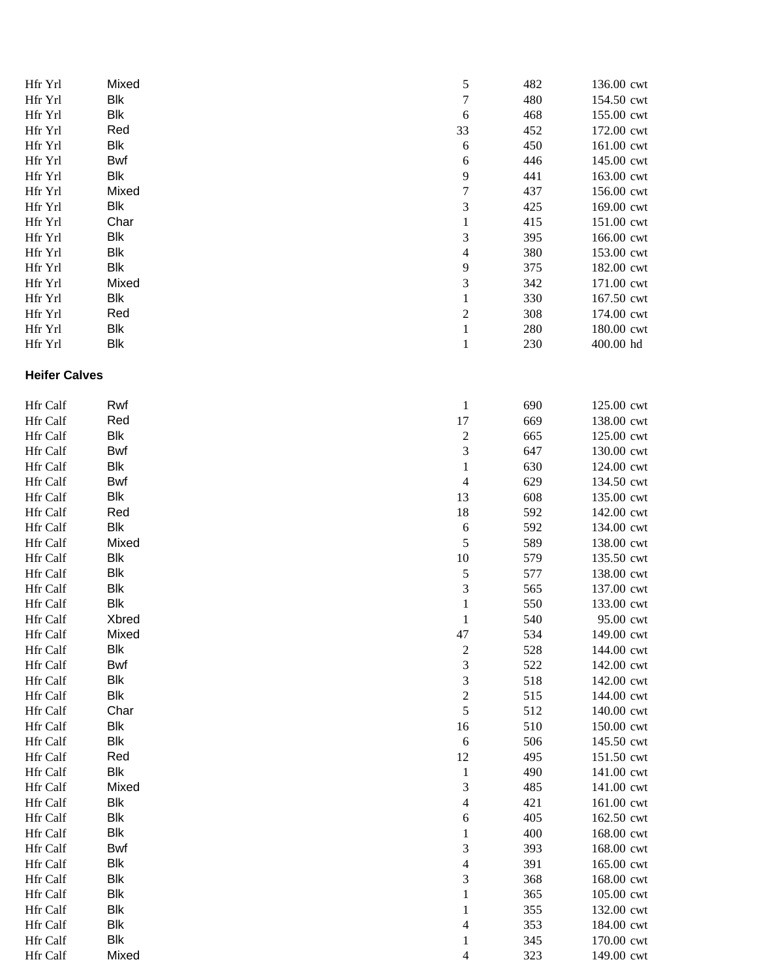| Hfr Yrl              | Mixed      | 5                       | 482 | 136.00 cwt |
|----------------------|------------|-------------------------|-----|------------|
| Hfr Yrl              | Blk        | $\boldsymbol{7}$        | 480 | 154.50 cwt |
| Hfr Yrl              | <b>Blk</b> | $\sqrt{6}$              | 468 | 155.00 cwt |
| Hfr Yrl              | Red        | 33                      | 452 | 172.00 cwt |
| Hfr Yrl              | <b>Blk</b> | $\sqrt{6}$              | 450 | 161.00 cwt |
| Hfr Yrl              | <b>Bwf</b> | 6                       | 446 | 145.00 cwt |
| Hfr Yrl              | <b>Blk</b> | 9                       | 441 | 163.00 cwt |
| Hfr Yrl              | Mixed      | $\boldsymbol{7}$        | 437 | 156.00 cwt |
| Hfr Yrl              | Blk        | 3                       | 425 | 169.00 cwt |
| Hfr Yrl              | Char       | $\mathbf{1}$            | 415 | 151.00 cwt |
| Hfr Yrl              | <b>Blk</b> | 3                       | 395 | 166.00 cwt |
| Hfr Yrl              | <b>Blk</b> | 4                       | 380 | 153.00 cwt |
| Hfr Yrl              | <b>Blk</b> | 9                       | 375 | 182.00 cwt |
| Hfr Yrl              | Mixed      | 3                       | 342 | 171.00 cwt |
| Hfr Yrl              | <b>Blk</b> | $\mathbf{1}$            | 330 | 167.50 cwt |
| Hfr Yrl              | Red        | $\boldsymbol{2}$        | 308 | 174.00 cwt |
|                      | Blk        |                         | 280 | 180.00 cwt |
| Hfr Yrl              | <b>Blk</b> | $\mathbf{1}$            |     |            |
| Hfr Yrl              |            | $\mathbf{1}$            | 230 | 400.00 hd  |
| <b>Heifer Calves</b> |            |                         |     |            |
| Hfr Calf             | Rwf        | $\mathbf{1}$            | 690 | 125.00 cwt |
| Hfr Calf             | Red        | 17                      | 669 | 138.00 cwt |
| Hfr Calf             | <b>Blk</b> | $\overline{c}$          | 665 | 125.00 cwt |
| <b>Hfr Calf</b>      | Bwf        | 3                       | 647 | 130.00 cwt |
| Hfr Calf             | <b>Blk</b> | $\mathbf{1}$            | 630 | 124.00 cwt |
| Hfr Calf             | Bwf        | 4                       | 629 | 134.50 cwt |
| Hfr Calf             | <b>Blk</b> | 13                      | 608 | 135.00 cwt |
| Hfr Calf             | Red        | 18                      | 592 | 142.00 cwt |
| Hfr Calf             | <b>Blk</b> | $\boldsymbol{6}$        | 592 | 134.00 cwt |
| Hfr Calf             | Mixed      | 5                       | 589 | 138.00 cwt |
| Hfr Calf             | <b>Blk</b> | 10                      | 579 | 135.50 cwt |
| Hfr Calf             | <b>Blk</b> | 5                       | 577 | 138.00 cwt |
| Hfr Calf             | <b>Blk</b> | 3                       | 565 | 137.00 cwt |
| Hfr Calf             | <b>Blk</b> | $\mathbf{1}$            | 550 | 133.00 cwt |
| Hfr Calf             | Xbred      |                         | 540 | 95.00 cwt  |
|                      |            | 1                       |     |            |
| Hfr Calf             | Mixed      | 47                      | 534 | 149.00 cwt |
| Hfr Calf             | Blk        | $\overline{\mathbf{c}}$ | 528 | 144.00 cwt |
| Hfr Calf             | Bwf        | 3                       | 522 | 142.00 cwt |
| Hfr Calf             | <b>Blk</b> | 3                       | 518 | 142.00 cwt |
| Hfr Calf             | <b>Blk</b> | $\boldsymbol{2}$        | 515 | 144.00 cwt |
| <b>Hfr Calf</b>      | Char       | 5                       | 512 | 140.00 cwt |
| Hfr Calf             | <b>Blk</b> | 16                      | 510 | 150.00 cwt |
| Hfr Calf             | Blk        | 6                       | 506 | 145.50 cwt |
| Hfr Calf             | Red        | 12                      | 495 | 151.50 cwt |
| Hfr Calf             | <b>Blk</b> | $\mathbf{1}$            | 490 | 141.00 cwt |
| <b>Hfr</b> Calf      | Mixed      | 3                       | 485 | 141.00 cwt |
| Hfr Calf             | <b>Blk</b> | 4                       | 421 | 161.00 cwt |
| Hfr Calf             | Blk        | 6                       | 405 | 162.50 cwt |
| Hfr Calf             | <b>Blk</b> | 1                       | 400 | 168.00 cwt |
| Hfr Calf             | Bwf        | 3                       | 393 | 168.00 cwt |
| Hfr Calf             | <b>Blk</b> | 4                       | 391 | 165.00 cwt |
| Hfr Calf             | <b>Blk</b> | 3                       | 368 | 168.00 cwt |
| Hfr Calf             | <b>Blk</b> | 1                       | 365 | 105.00 cwt |
| Hfr Calf             | <b>Blk</b> | 1                       | 355 | 132.00 cwt |
| Hfr Calf             | <b>Blk</b> | 4                       | 353 | 184.00 cwt |
| Hfr Calf             | <b>Blk</b> | 1                       | 345 | 170.00 cwt |
| Hfr Calf             | Mixed      | 4                       | 323 | 149.00 cwt |
|                      |            |                         |     |            |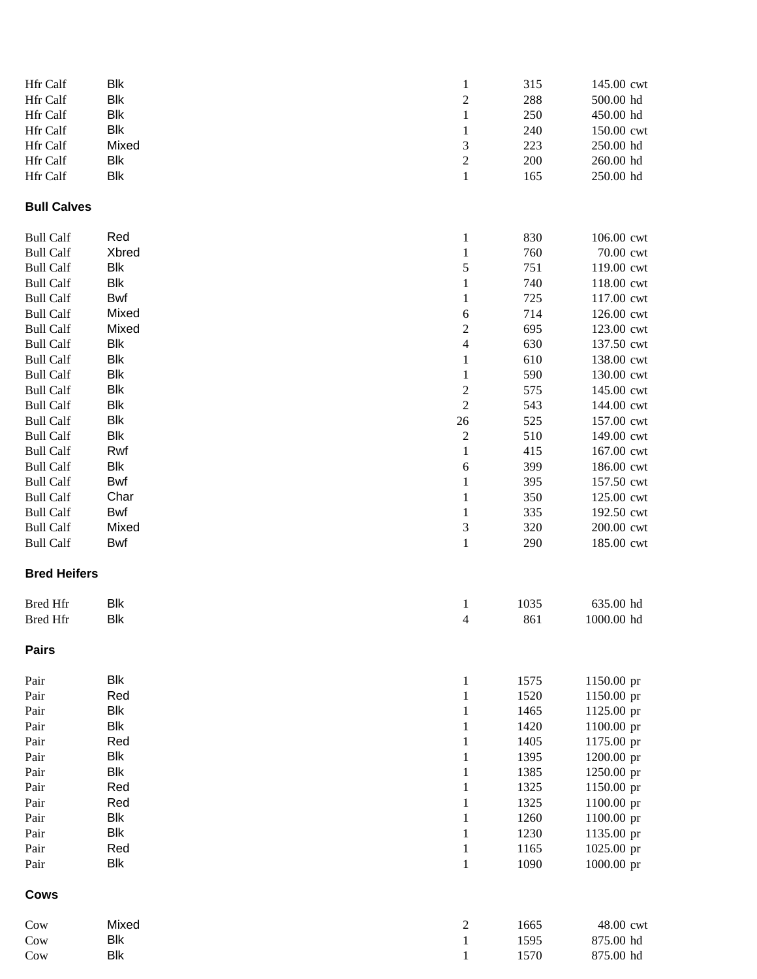| Hfr Calf            | <b>Blk</b> | $\mathbf{1}$                | 315  | 145.00 cwt |
|---------------------|------------|-----------------------------|------|------------|
| Hfr Calf            | <b>Blk</b> | $\sqrt{2}$                  | 288  | 500.00 hd  |
| Hfr Calf            | <b>Blk</b> | $\mathbf{1}$                | 250  | 450.00 hd  |
| Hfr Calf            | <b>Blk</b> | $\mathbf{1}$                | 240  | 150.00 cwt |
| Hfr Calf            | Mixed      | $\ensuremath{\mathfrak{Z}}$ | 223  | 250.00 hd  |
| Hfr Calf            | <b>Blk</b> | $\sqrt{2}$                  | 200  | 260.00 hd  |
| Hfr Calf            | <b>Blk</b> | $\,1\,$                     | 165  | 250.00 hd  |
| <b>Bull Calves</b>  |            |                             |      |            |
| <b>Bull Calf</b>    | Red        | $\mathbf{1}$                | 830  | 106.00 cwt |
| <b>Bull Calf</b>    | Xbred      | $\mathbf{1}$                | 760  | 70.00 cwt  |
| <b>Bull Calf</b>    | <b>Blk</b> | 5                           | 751  | 119.00 cwt |
| <b>Bull Calf</b>    | <b>Blk</b> | $\mathbf{1}$                | 740  | 118.00 cwt |
| <b>Bull Calf</b>    | Bwf        | 1                           | 725  | 117.00 cwt |
| <b>Bull Calf</b>    | Mixed      | 6                           | 714  | 126.00 cwt |
| <b>Bull Calf</b>    | Mixed      | $\overline{c}$              | 695  | 123.00 cwt |
| <b>Bull Calf</b>    | Blk        | $\overline{\mathcal{A}}$    | 630  | 137.50 cwt |
| <b>Bull Calf</b>    | <b>Blk</b> | $\mathbf{1}$                | 610  | 138.00 cwt |
| <b>Bull Calf</b>    | <b>Blk</b> | $\mathbf{1}$                | 590  | 130.00 cwt |
| <b>Bull Calf</b>    | <b>Blk</b> | $\overline{\mathbf{c}}$     | 575  | 145.00 cwt |
| <b>Bull Calf</b>    | <b>Blk</b> | $\sqrt{2}$                  | 543  | 144.00 cwt |
| <b>Bull Calf</b>    | <b>Blk</b> | $26\,$                      | 525  | 157.00 cwt |
| <b>Bull Calf</b>    | <b>Blk</b> | $\sqrt{2}$                  | 510  | 149.00 cwt |
| <b>Bull Calf</b>    | Rwf        | $\mathbf{1}$                | 415  | 167.00 cwt |
| <b>Bull Calf</b>    | Blk        | 6                           | 399  | 186.00 cwt |
| <b>Bull Calf</b>    | Bwf        | 1                           | 395  | 157.50 cwt |
| <b>Bull Calf</b>    | Char       | $\mathbf{1}$                | 350  | 125.00 cwt |
| <b>Bull Calf</b>    | Bwf        | 1                           | 335  | 192.50 cwt |
| <b>Bull Calf</b>    | Mixed      | $\mathfrak{Z}$              | 320  | 200.00 cwt |
| <b>Bull Calf</b>    | <b>Bwf</b> | $\mathbf{1}$                | 290  | 185.00 cwt |
| <b>Bred Heifers</b> |            |                             |      |            |
| <b>Bred Hfr</b>     | <b>Blk</b> | $\mathbf{1}$                | 1035 | 635.00 hd  |
| <b>Bred Hfr</b>     | <b>Blk</b> | $\overline{4}$              | 861  | 1000.00 hd |
| <b>Pairs</b>        |            |                             |      |            |
| Pair                | <b>Blk</b> | $\mathbf{1}$                | 1575 | 1150.00 pr |
| Pair                | Red        | $\mathbf{1}$                | 1520 | 1150.00 pr |
| Pair                | <b>Blk</b> | $\mathbf{1}$                | 1465 | 1125.00 pr |
| Pair                | <b>Blk</b> | 1                           | 1420 | 1100.00 pr |
| Pair                | Red        | 1                           | 1405 | 1175.00 pr |
| Pair                | <b>Blk</b> | 1                           | 1395 | 1200.00 pr |
| Pair                | <b>Blk</b> | 1                           | 1385 | 1250.00 pr |
| Pair                | Red        | 1                           | 1325 | 1150.00 pr |
| Pair                | Red        | 1                           | 1325 | 1100.00 pr |
| Pair                | <b>Blk</b> | $\mathbf{1}$                | 1260 | 1100.00 pr |
| Pair                | <b>Blk</b> | $\mathbf{1}$                | 1230 | 1135.00 pr |
| Pair                | Red        | $\mathbf{1}$                | 1165 | 1025.00 pr |
| Pair                | <b>Blk</b> | $\mathbf{1}$                | 1090 | 1000.00 pr |
| <b>Cows</b>         |            |                             |      |            |
| Cow                 | Mixed      | $\sqrt{2}$                  | 1665 | 48.00 cwt  |
| Cow                 | <b>Blk</b> | $\mathbf{1}$                | 1595 | 875.00 hd  |
| Cow                 | <b>Blk</b> | $\mathbf{1}$                | 1570 | 875.00 hd  |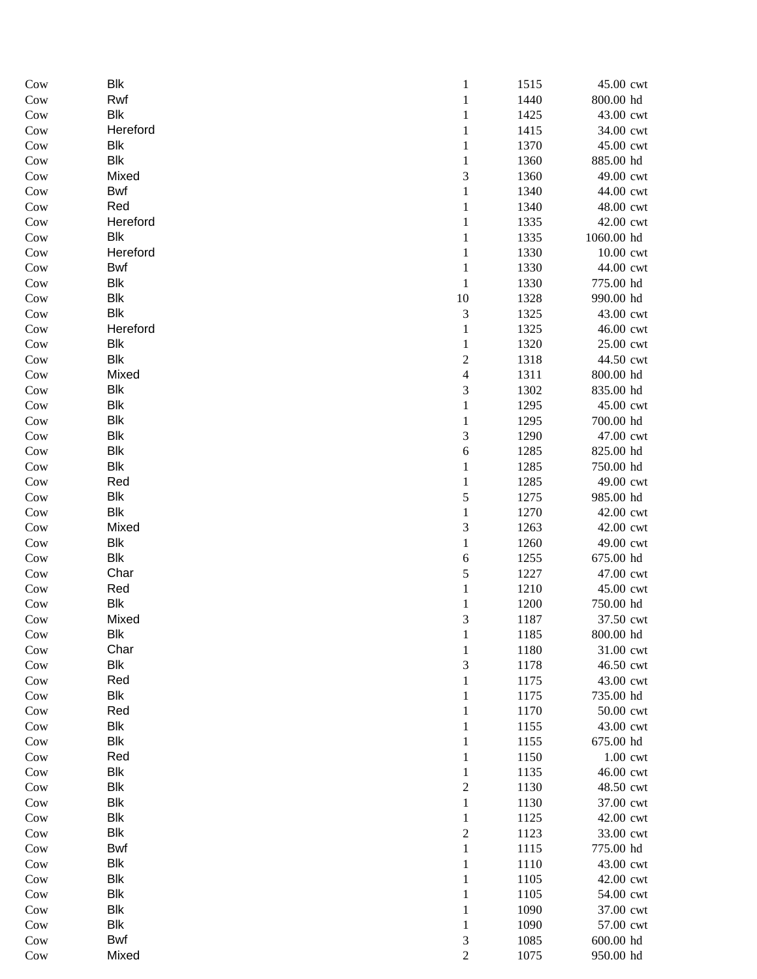| Cow           | Blk        | $\mathbf{1}$     | 1515         | 45.00 cwt              |
|---------------|------------|------------------|--------------|------------------------|
| Cow           | Rwf        | $\mathbf{1}$     | 1440         | 800.00 hd              |
| Cow           | Blk        | 1                | 1425         | 43.00 cwt              |
| Cow           | Hereford   | 1                | 1415         | 34.00 cwt              |
| Cow           | Blk        | 1                | 1370         | 45.00 cwt              |
| Cow           | Blk        | 1                | 1360         | 885.00 hd              |
| Cow           | Mixed      | 3                | 1360         | 49.00 cwt              |
| Cow           | Bwf        | 1                | 1340         | 44.00 cwt              |
| Cow           | Red        | $\mathbf{1}$     | 1340         | 48.00 cwt              |
| Cow           | Hereford   | 1                | 1335         | 42.00 cwt              |
| Cow           | Blk        | 1                | 1335         | 1060.00 hd             |
| Cow           | Hereford   | 1                | 1330         | 10.00 cwt              |
| Cow           | Bwf        | $\mathbf{1}$     | 1330         | 44.00 cwt              |
| Cow           | Blk        | $\mathbf{1}$     | 1330         | 775.00 hd              |
| Cow           | Blk        | $10\,$           | 1328         | 990.00 hd              |
| Cow           | Blk        | 3                | 1325         | 43.00 cwt              |
| Cow           | Hereford   | $\mathbf{1}$     | 1325         | 46.00 cwt              |
| Cow           | Blk        | 1                | 1320         | 25.00 cwt              |
| Cow           | Blk        | $\overline{c}$   | 1318         | 44.50 cwt              |
| Cow           | Mixed      | 4                | 1311         | 800.00 hd              |
| Cow           | Blk        | 3                | 1302         | 835.00 hd              |
| Cow           | Blk        | $\mathbf{1}$     | 1295         | 45.00 cwt              |
| Cow           | Blk        | 1                | 1295         | 700.00 hd              |
| Cow           | Blk        | 3                | 1290         | 47.00 cwt              |
| Cow           | Blk        | 6                | 1285         | 825.00 hd              |
| Cow           | Blk<br>Red | 1                | 1285<br>1285 | 750.00 hd<br>49.00 cwt |
| Cow<br>Cow    | Blk        | 1<br>5           | 1275         | 985.00 hd              |
| Cow           | Blk        | 1                | 1270         | 42.00 cwt              |
| Cow           | Mixed      | 3                | 1263         | 42.00 cwt              |
| Cow           | Blk        | $\mathbf{1}$     | 1260         | 49.00 cwt              |
| Cow           | Blk        | 6                | 1255         | 675.00 hd              |
| Cow           | Char       | 5                | 1227         | 47.00 cwt              |
| Cow           | Red        | $\mathbf{1}$     | 1210         | 45.00 cwt              |
| Cow           | Blk        | 1                | 1200         | 750.00 hd              |
| Cow           | Mixed      | 3                | 1187         | 37.50 cwt              |
| Cow           | <b>Blk</b> | $\mathbf{I}$     | 1185         | 800.00 hd              |
| Cow           | Char       | $\mathbf{1}$     | 1180         | 31.00 cwt              |
| Cow           | Blk        | 3                | 1178         | 46.50 cwt              |
| Cow           | Red        | 1                | 1175         | 43.00 cwt              |
| Cow           | Blk        | 1                | 1175         | 735.00 hd              |
| Cow           | Red        | 1                | 1170         | 50.00 cwt              |
| Cow           | Blk        | 1                | 1155         | 43.00 cwt              |
| Cow           | Blk        | 1                | 1155         | 675.00 hd              |
| Cow           | Red        | 1                | 1150         | 1.00 cwt               |
| Cow           | Blk        | 1                | 1135         | 46.00 cwt              |
| Cow           | Blk        | $\boldsymbol{2}$ | 1130         | 48.50 cwt              |
| $_{\rm{Cow}}$ | Blk        | $\,1\,$          | 1130         | 37.00 cwt              |
| Cow           | Blk        | $\mathbf{1}$     | 1125         | 42.00 cwt              |
| Cow           | Blk        | $\overline{c}$   | 1123         | 33.00 cwt              |
| Cow           | Bwf        | $\mathbf{1}$     | 1115         | 775.00 hd              |
| Cow           | Blk        | 1                | 1110         | 43.00 cwt              |
| Cow           | <b>Blk</b> | 1                | 1105         | 42.00 cwt              |
| Cow           | <b>Blk</b> | 1                | 1105         | 54.00 cwt              |
| Cow           | <b>Blk</b> | 1                | 1090         | 37.00 cwt              |
| Cow           | Blk        | 1                | 1090         | 57.00 cwt              |
| Cow           | Bwf        | 3                | 1085         | 600.00 hd              |
| Cow           | Mixed      | $\overline{c}$   | 1075         | 950.00 hd              |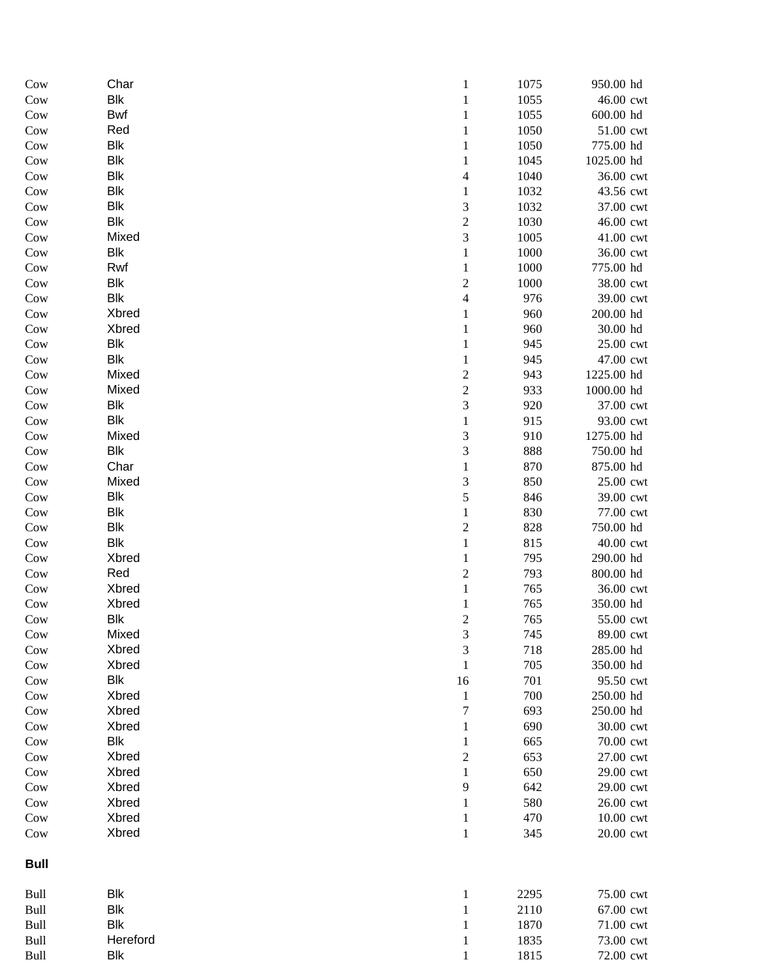| Cow         | Char           | $\mathbf{1}$                | 1075       | 950.00 hd             |
|-------------|----------------|-----------------------------|------------|-----------------------|
| Cow         | <b>Blk</b>     | 1                           | 1055       | 46.00 cwt             |
| Cow         | Bwf            | 1                           | 1055       | 600.00 hd             |
| Cow         | Red            | 1                           | 1050       | 51.00 cwt             |
| Cow         | <b>Blk</b>     | 1                           | 1050       | 775.00 hd             |
| Cow         | <b>Blk</b>     | 1                           | 1045       | 1025.00 hd            |
| Cow         | <b>Blk</b>     | 4                           | 1040       | 36.00 cwt             |
| Cow         | <b>Blk</b>     | 1                           | 1032       | 43.56 cwt             |
| Cow         | Blk            | 3                           | 1032       | 37.00 cwt             |
| Cow         | <b>Blk</b>     | $\boldsymbol{2}$            | 1030       | 46.00 cwt             |
| Cow         | Mixed          | 3                           | 1005       | 41.00 cwt             |
| Cow         | <b>Blk</b>     | 1                           | 1000       | 36.00 cwt             |
| Cow         | Rwf            | $\mathbf{1}$                | 1000       | 775.00 hd             |
| Cow         | <b>Blk</b>     | $\boldsymbol{2}$            | 1000       | 38.00 cwt             |
| Cow         | <b>Blk</b>     | 4                           | 976        | 39.00 cwt             |
| Cow         | Xbred<br>Xbred | 1                           | 960<br>960 | 200.00 hd             |
| Cow         | <b>Blk</b>     | 1                           | 945        | 30.00 hd<br>25.00 cwt |
| Cow<br>Cow  | <b>Blk</b>     | 1<br>1                      | 945        | 47.00 cwt             |
| Cow         | Mixed          | $\overline{c}$              | 943        | 1225.00 hd            |
| Cow         | Mixed          | $\sqrt{2}$                  | 933        | 1000.00 hd            |
| Cow         | <b>Blk</b>     | $\mathfrak{Z}$              | 920        | 37.00 cwt             |
| Cow         | <b>Blk</b>     | 1                           | 915        | 93.00 cwt             |
| Cow         | Mixed          | 3                           | 910        | 1275.00 hd            |
| Cow         | Blk            | 3                           | 888        | 750.00 hd             |
| Cow         | Char           | 1                           | 870        | 875.00 hd             |
| Cow         | Mixed          | 3                           | 850        | 25.00 cwt             |
| Cow         | <b>Blk</b>     | 5                           | 846        | 39.00 cwt             |
| Cow         | <b>Blk</b>     | 1                           | 830        | 77.00 cwt             |
| Cow         | <b>Blk</b>     | $\sqrt{2}$                  | 828        | 750.00 hd             |
| Cow         | <b>Blk</b>     | $\mathbf{1}$                | 815        | 40.00 cwt             |
| Cow         | Xbred          | 1                           | 795        | 290.00 hd             |
| Cow         | Red            | $\overline{c}$              | 793        | 800.00 hd             |
| Cow         | Xbred          | $\,1$                       | 765        | 36.00 cwt             |
| Cow         | Xbred          | 1                           | 765        | 350.00 hd             |
| Cow         | <b>Blk</b>     | $\overline{c}$              | 765        | 55.00 cwt             |
| Cow         | Mixed          | 3                           | 745        | 89.00 cwt             |
| Cow         | Xbred          | $\ensuremath{\mathfrak{Z}}$ | 718        | 285.00 hd             |
| Cow         | Xbred          | 1                           | 705        | 350.00 hd             |
| Cow         | <b>Blk</b>     | 16                          | 701        | 95.50 cwt             |
| Cow         | Xbred          | $\mathbf{1}$                | 700        | 250.00 hd             |
| Cow         | Xbred          | 7                           | 693        | 250.00 hd             |
| Cow         | Xbred          | 1                           | 690        | 30.00 cwt             |
| Cow         | <b>Blk</b>     | 1                           | 665        | 70.00 cwt             |
| Cow         | Xbred          | $\overline{c}$              | 653        | 27.00 cwt             |
| Cow         | Xbred          | $\,1$                       | 650        | 29.00 cwt             |
| Cow         | Xbred          | 9                           | 642        | 29.00 cwt             |
| Cow         | Xbred          | $\mathbf{1}$                | 580        | 26.00 cwt             |
| Cow         | Xbred          | $\mathbf{1}$                | 470        | 10.00 cwt             |
| Cow         | Xbred          | $\,1\,$                     | 345        | 20.00 cwt             |
| <b>Bull</b> |                |                             |            |                       |
| Bull        | <b>Blk</b>     | $\mathbf{1}$                | 2295       | 75.00 cwt             |
| Bull        | <b>Blk</b>     | 1                           | 2110       | 67.00 cwt             |
| Bull        | <b>Blk</b>     | 1                           | 1870       | 71.00 cwt             |
| Bull        | Hereford       | 1                           | 1835       | 73.00 cwt             |
| Bull        | Blk            | $\mathbf{1}$                | 1815       | 72.00 cwt             |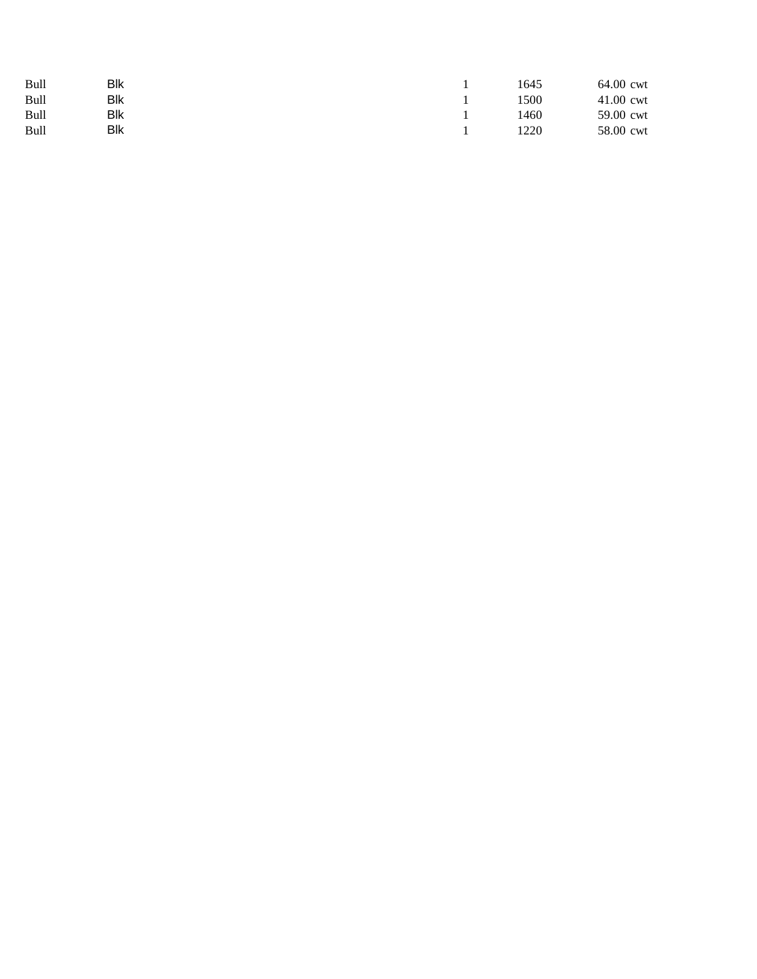| Bull | Blk        |  | 1645 | 64.00 cwt |
|------|------------|--|------|-----------|
| Bull | Blk        |  | 1500 | 41.00 cwt |
| Bull | <b>Blk</b> |  | 1460 | 59.00 cwt |
| Bull | Blk        |  | 1220 | 58.00 cwt |